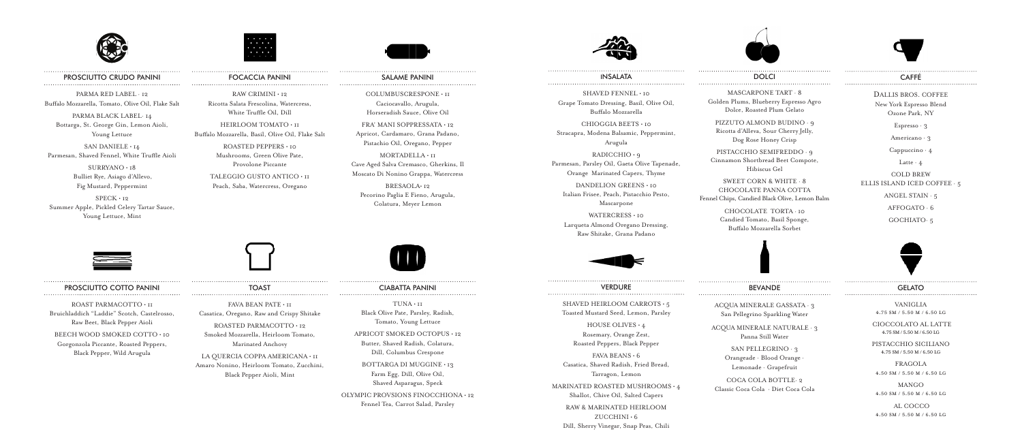



#### PROSCIUTTO CRUDO PANINI

PARMA RED LABEL · 12 Buffalo Mozzarella, Tomato, Olive Oil, Flake Salt PARMA BLACK LABEL· 14 Bottarga, St. George Gin, Lemon Aioli, Young Lettuce SAN DANIELE • 14 Parmesan, Shaved Fennel, White Truffle Aioli SURRYANO • 18

 Bulliet Rye, Asiago d'Allevo, Fig Mustard, Peppermint

SPECK • 12 Summer Apple, Pickled Celery Tartar Sauce, Young Lettuce, Mint



#### FOCACCIA PANINI

RAW CRIMINI • 12 Ricotta Salata Frescolina, Watercress, White Truffle Oil, Dill HEIRLOOM TOMATO • 11 Buffalo Mozzarella, Basil, Olive Oil, Flake Salt ROASTED PEPPERS • 10 Mushrooms, Green Olive Pate, Provolone Piccante

TALEGGIO GUSTO ANTICO • 11 Peach, Saba, Watercress, Oregano

### SALAME PANINI

COLUMBUSCRESPONE • 11 Caciocavallo, Arugula, Horseradish Sauce, Olive Oil FRA' MANI SOPPRESSATA • 12 Apricot, Cardamaro, Grana Padano, Pistachio Oil, Oregano, Pepper MORTADELLA • 11 Cave Aged Salva Cremasco, Gherkins, Il Moscato Di Nonino Grappa, Watercress

BRESAOLA· 12 Pecorino Paglia E Fieno, Arugula, Colatura, Meyer Lemon



#### PROSCIUTTO COTTO PANINI

ROAST PARMACOTTO • 11 Bruichladdich "Laddie" Scotch, Castelrosso, Raw Beet, Black Pepper Aioli BEECH WOOD SMOKED COTTO • 10 Gorgonzola Piccante, Roasted Peppers, Black Pepper, Wild Arugula

# TOAST

FAVA BEAN PATE • 11 Casatica, Oregano, Raw and Crispy Shitake ROASTED PARMACOTTO • 12 Smoked Mozzarella, Heirloom Tomato, Marinated Anchovy

LA QUERCIA COPPA AMERICANA • 11 Amaro Nonino, Heirloom Tomato, Zucchini, Black Pepper Aioli, Mint

# CIABATTA PANINI

TUNA • 11 Black Olive Pate, Parsley, Radish, Tomato, Young Lettuce APRICOT SMOKED OCTOPUS • 12 Butter, Shaved Radish, Colatura, Dill, Columbus Crespone BOTTARGA DI MUGGINE • 13 Farm Egg, Dill, Olive Oil, Shaved Asparagus, Speck OLYMPIC PROVSIONS FINOCCHIONA • 12 Fennel Tea, Carrot Salad, Parsley



. . . . . . . . . . . . . . .

## INSALATA

SHAVED FENNEL · 10 Grape Tomato Dressing, Basil, Olive Oil, Buffalo Mozzarella CHIOGGIA BEETS • 10 Stracapra, Modena Balsamic, Peppermint, Arugula RADICCHIO • 9 Parmesan, Parsley Oil, Gaeta Olive Tapenade, Orange Marinated Capers, Thyme DANDELION GREENS • 10 Italian Frisee, Peach, Pistacchio Pesto, Mascarpone

WATERCRESS • 10 Larqueta Almond Oregano Dressing, Raw Shitake, Grana Padano



#### VERDURE

SHAVED HEIRLOOM CARROTS • 5 Toasted Mustard Seed, Lemon, Parsley

HOUSE OLIVES  $\cdot$  4 Rosemary, Orange Zest, Roasted Peppers, Black Pepper FAVA BEANS • 6

Casatica, Shaved Radish, Fried Bread, Tarragon, Lemon

MARINATED ROASTED MUSHROOMS • 4 Shallot, Chive Oil, Salted Capers RAW & MARINATED HEIRLOOM ZUCCHINI • 6 Dill, Sherry Vinegar, Snap Peas, Chili

#### DOLCI

MASCARPONE TART *·* 8 Golden Plums, Blueberry Espresso Agro Dolce, Roasted Plum Gelato PIZZUTO ALMOND BUDINO *·* 9 Ricotta d'Alleva, Sour Cherry Jelly, Dog Rose Honey Crisp PISTACCHIO SEMIFREDDO *·* 9 Cinnamon Shortbread Beet Compote, Hibiscus Gel SWEET CORN & WHITE *·* 8 CHOCOLATE PANNA COTTA Fennel Chips, Candied Black Olive, Lemon Balm CHOCOLATE TORTA *·* 10

Candied Tomato, Basil Sponge, Buffalo Mozzarella Sorbet



## BEVANDE

ACQUA MINERALE GASSATA *·* 3 San Pellegrino Sparkling Water

ACQUA MINERALE NATURALE *·* 3 Panna Still Water SAN PELLEGRINO · 3

Orangeade · Blood Orange · Lemonade · Grapefruit

COCA COLA BOTTLE*·* 2 Classic Coca Cola · Diet Coca Cola

## CAFFÉ

DALLIS BROS. COFFEE New York Espresso Blend Ozone Park, NY

Espresso · 3

Americano · 3

Cappuccino · 4

Latte  $\cdot$  4

COLD BREW ELLIS ISLAND ICED COFFEE · 5

> ANGEL STAIN · 5 AFFOGATO · 6

> > GOCHIATO· 5



GELATO

VANIGLIA 4.75 SM / 5.50 M / 6.50 LG

 CIOCCOLATO AL LATTE 4.75 SM / 5.50 M / 6.50 LG

PISTACCHIO SICILIANO 4.75 SM / 5.50 M / 6.50 LG

FRAGOLA 4.50 SM / 5.50 M / 6.50 LG

MANGO 4.50 SM / 5.50 M / 6.50 LG

 AL COCCO 4.50 SM / 5.50 M / 6.50 LG